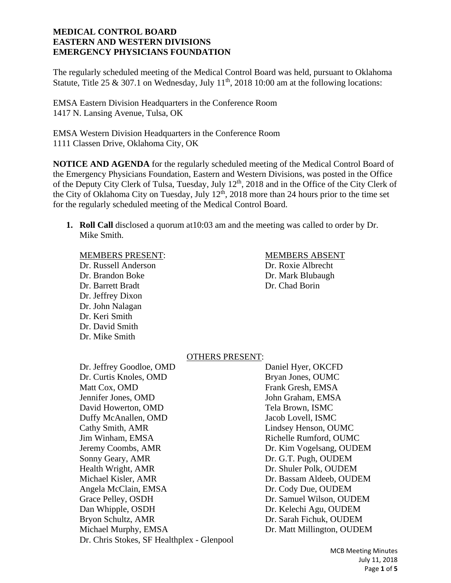The regularly scheduled meeting of the Medical Control Board was held, pursuant to Oklahoma Statute, Title 25 & 307.1 on Wednesday, July  $11<sup>th</sup>$ , 2018 10:00 am at the following locations:

EMSA Eastern Division Headquarters in the Conference Room 1417 N. Lansing Avenue, Tulsa, OK

EMSA Western Division Headquarters in the Conference Room 1111 Classen Drive, Oklahoma City, OK

**NOTICE AND AGENDA** for the regularly scheduled meeting of the Medical Control Board of the Emergency Physicians Foundation, Eastern and Western Divisions, was posted in the Office of the Deputy City Clerk of Tulsa, Tuesday, July 12<sup>th</sup>, 2018 and in the Office of the City Clerk of the City of Oklahoma City on Tuesday, July  $12<sup>th</sup>$ , 2018 more than 24 hours prior to the time set for the regularly scheduled meeting of the Medical Control Board.

**1. Roll Call** disclosed a quorum at10:03 am and the meeting was called to order by Dr. Mike Smith.

#### MEMBERS PRESENT: MEMBERS ABSENT

 Dr. Russell Anderson Dr. Roxie Albrecht Dr. Brandon Boke Dr. Mark Blubaugh Dr. Barrett Bradt Dr. Chad Borin Dr. Jeffrey Dixon Dr. John Nalagan Dr. Keri Smith Dr. David Smith Dr. Mike Smith

#### OTHERS PRESENT:

Dr. Jeffrey Goodloe, OMD Daniel Hyer, OKCFD Dr. Curtis Knoles, OMD Bryan Jones, OUMC Matt Cox, OMD **Frank Gresh, EMSA** Jennifer Jones, OMD John Graham, EMSA David Howerton, OMD Tela Brown, ISMC Duffy McAnallen, OMD Jacob Lovell, ISMC Cathy Smith, AMR Lindsey Henson, OUMC Jim Winham, EMSA **Richelle Rumford, OUMC** Jeremy Coombs, AMR Dr. Kim Vogelsang, OUDEM Sonny Geary, AMR Dr. G.T. Pugh, OUDEM Health Wright, AMR Dr. Shuler Polk, OUDEM Michael Kisler, AMR **Dr. Bassam Aldeeb, OUDEM** Angela McClain, EMSA Dr. Cody Due, OUDEM Grace Pelley, OSDH Dr. Samuel Wilson, OUDEM Dan Whipple, OSDH Dr. Kelechi Agu, OUDEM Bryon Schultz, AMR Dr. Sarah Fichuk, OUDEM Michael Murphy, EMSA Dr. Matt Millington, OUDEM Dr. Chris Stokes, SF Healthplex - Glenpool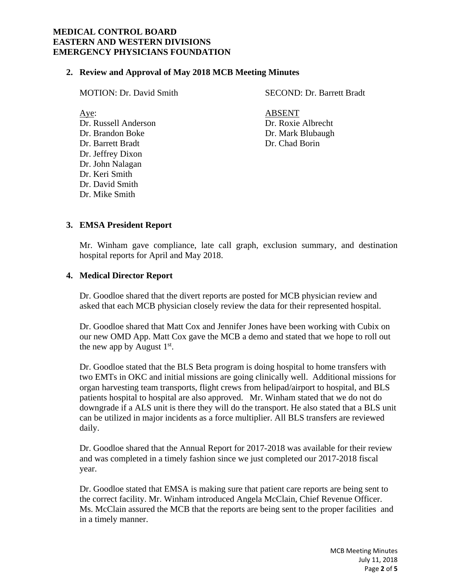### **2. Review and Approval of May 2018 MCB Meeting Minutes**

| <b>MOTION: Dr. David Smith</b> | <b>SECOND: Dr. Barrett Bradt</b> |
|--------------------------------|----------------------------------|
| Aye:                           | <b>ABSENT</b>                    |
| Dr. Russell Anderson           | Dr. Roxie Albrecht               |
| Dr. Brandon Boke               | Dr. Mark Blubaugh                |
| Dr. Barrett Bradt              | Dr. Chad Borin                   |
| Dr. Jeffrey Dixon              |                                  |
| Dr. John Nalagan               |                                  |

#### **3. EMSA President Report**

Dr. Keri Smith Dr. David Smith Dr. Mike Smith

Mr. Winham gave compliance, late call graph, exclusion summary, and destination hospital reports for April and May 2018.

#### **4. Medical Director Report**

Dr. Goodloe shared that the divert reports are posted for MCB physician review and asked that each MCB physician closely review the data for their represented hospital.

Dr. Goodloe shared that Matt Cox and Jennifer Jones have been working with Cubix on our new OMD App. Matt Cox gave the MCB a demo and stated that we hope to roll out the new app by August  $1<sup>st</sup>$ .

Dr. Goodloe stated that the BLS Beta program is doing hospital to home transfers with two EMTs in OKC and initial missions are going clinically well. Additional missions for organ harvesting team transports, flight crews from helipad/airport to hospital, and BLS patients hospital to hospital are also approved. Mr. Winham stated that we do not do downgrade if a ALS unit is there they will do the transport. He also stated that a BLS unit can be utilized in major incidents as a force multiplier. All BLS transfers are reviewed daily.

Dr. Goodloe shared that the Annual Report for 2017-2018 was available for their review and was completed in a timely fashion since we just completed our 2017-2018 fiscal year.

Dr. Goodloe stated that EMSA is making sure that patient care reports are being sent to the correct facility. Mr. Winham introduced Angela McClain, Chief Revenue Officer. Ms. McClain assured the MCB that the reports are being sent to the proper facilities and in a timely manner.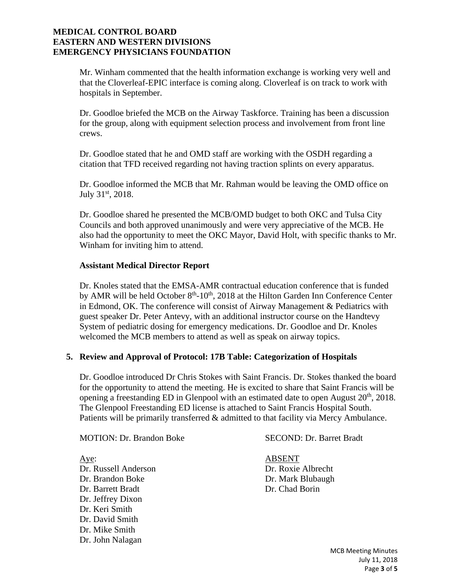Mr. Winham commented that the health information exchange is working very well and that the Cloverleaf-EPIC interface is coming along. Cloverleaf is on track to work with hospitals in September.

Dr. Goodloe briefed the MCB on the Airway Taskforce. Training has been a discussion for the group, along with equipment selection process and involvement from front line crews.

Dr. Goodloe stated that he and OMD staff are working with the OSDH regarding a citation that TFD received regarding not having traction splints on every apparatus.

Dr. Goodloe informed the MCB that Mr. Rahman would be leaving the OMD office on July 31<sup>st</sup>, 2018.

Dr. Goodloe shared he presented the MCB/OMD budget to both OKC and Tulsa City Councils and both approved unanimously and were very appreciative of the MCB. He also had the opportunity to meet the OKC Mayor, David Holt, with specific thanks to Mr. Winham for inviting him to attend.

# **Assistant Medical Director Report**

Dr. Knoles stated that the EMSA-AMR contractual education conference that is funded by AMR will be held October 8<sup>th</sup>-10<sup>th</sup>, 2018 at the Hilton Garden Inn Conference Center in Edmond, OK. The conference will consist of Airway Management & Pediatrics with guest speaker Dr. Peter Antevy, with an additional instructor course on the Handtevy System of pediatric dosing for emergency medications. Dr. Goodloe and Dr. Knoles welcomed the MCB members to attend as well as speak on airway topics.

#### **5. Review and Approval of Protocol: 17B Table: Categorization of Hospitals**

Dr. Goodloe introduced Dr Chris Stokes with Saint Francis. Dr. Stokes thanked the board for the opportunity to attend the meeting. He is excited to share that Saint Francis will be opening a freestanding ED in Glenpool with an estimated date to open August  $20<sup>th</sup>$ ,  $2018$ . The Glenpool Freestanding ED license is attached to Saint Francis Hospital South. Patients will be primarily transferred & admitted to that facility via Mercy Ambulance.

MOTION: Dr. Brandon Boke SECOND: Dr. Barret Bradt

Aye: ABSENT Dr. Russell Anderson Dr. Roxie Albrecht Dr. Brandon Boke Dr. Mark Blubaugh Dr. Barrett Bradt Dr. Chad Borin Dr. Jeffrey Dixon Dr. Keri Smith Dr. David Smith Dr. Mike Smith Dr. John Nalagan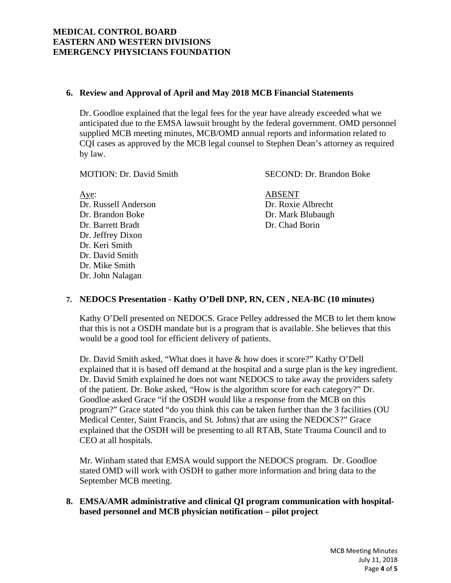# **6. Review and Approval of April and May 2018 MCB Financial Statements**

Dr. Goodloe explained that the legal fees for the year have already exceeded what we anticipated due to the EMSA lawsuit brought by the federal government. OMD personnel supplied MCB meeting minutes, MCB/OMD annual reports and information related to CQI cases as approved by the MCB legal counsel to Stephen Dean's attorney as required by law.

MOTION: Dr. David Smith SECOND: Dr. Brandon Boke

Aye: ABSENT Dr. Russell Anderson Dr. Roxie Albrecht Dr. Brandon Boke Dr. Mark Blubaugh Dr. Barrett Bradt Dr. Chad Borin Dr. Jeffrey Dixon Dr. Keri Smith Dr. David Smith Dr. Mike Smith Dr. John Nalagan

# **7. NEDOCS Presentation - Kathy O'Dell DNP, RN, CEN , NEA-BC (10 minutes)**

Kathy O'Dell presented on NEDOCS. Grace Pelley addressed the MCB to let them know that this is not a OSDH mandate but is a program that is available. She believes that this would be a good tool for efficient delivery of patients.

Dr. David Smith asked, "What does it have & how does it score?" Kathy O'Dell explained that it is based off demand at the hospital and a surge plan is the key ingredient. Dr. David Smith explained he does not want NEDOCS to take away the providers safety of the patient. Dr. Boke asked, "How is the algorithm score for each category?" Dr. Goodloe asked Grace "if the OSDH would like a response from the MCB on this program?" Grace stated "do you think this can be taken further than the 3 facilities (OU Medical Center, Saint Francis, and St. Johns) that are using the NEDOCS?" Grace explained that the OSDH will be presenting to all RTAB, State Trauma Council and to CEO at all hospitals.

Mr. Winham stated that EMSA would support the NEDOCS program. Dr. Goodloe stated OMD will work with OSDH to gather more information and bring data to the September MCB meeting.

**8. EMSA/AMR administrative and clinical QI program communication with hospitalbased personnel and MCB physician notification – pilot project**